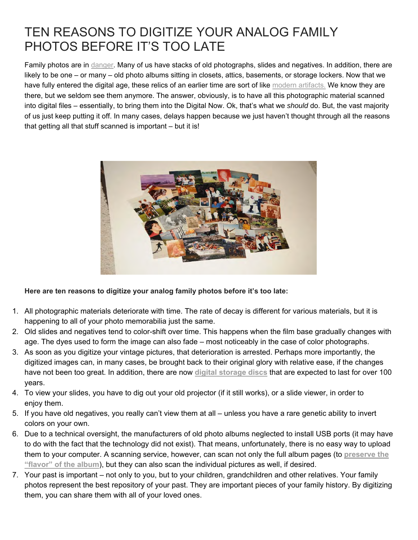## TEN REASONS TO DIGITIZE YOUR ANALOG FAMILY PHOTOS BEFORE IT'S TOO LATE

Family photos are in danger. Many of us have stacks of old photographs, slides and negatives. In addition, there are likely to be one – or many – old photo albums sitting in closets, attics, basements, or storage lockers. Now that we have fully entered the digital age, these relics of an earlier time are sort of like modern artifacts. We know they are there, but we seldom see them anymore. The answer, obviously, is to have all this photographic material scanned into digital files – essentially, to bring them into the Digital Now. Ok, that's what we *should* do. But, the vast majority of us just keep putting it off. In many cases, delays happen because we just haven't thought through all the reasons that getting all that stuff scanned is important – but it is!



**Here are ten reasons to digitize your analog family photos before it's too late:**

- 1. All photographic materials deteriorate with time. The rate of decay is different for various materials, but it is happening to all of your photo memorabilia just the same.
- 2. Old slides and negatives tend to color-shift over time. This happens when the film base gradually changes with age. The dyes used to form the image can also fade – most noticeably in the case of color photographs.
- 3. As soon as you digitize your vintage pictures, that deterioration is arrested. Perhaps more importantly, the digitized images can, in many cases, be brought back to their original glory with relative ease, if the changes have not been too great. In addition, there are now **digital storage discs** that are expected to last for over 100 years.
- 4. To view your slides, you have to dig out your old projector (if it still works), or a slide viewer, in order to enjoy them.
- 5. If you have old negatives, you really can't view them at all unless you have a rare genetic ability to invert colors on your own.
- 6. Due to a technical oversight, the manufacturers of old photo albums neglected to install USB ports (it may have to do with the fact that the technology did not exist). That means, unfortunately, there is no easy way to upload them to your computer. A scanning service, however, can scan not only the full album pages (to **preserve the "flavor" of the album**), but they can also scan the individual pictures as well, if desired.
- 7. Your past is important not only to you, but to your children, grandchildren and other relatives. Your family photos represent the best repository of your past. They are important pieces of your family history. By digitizing them, you can share them with all of your loved ones.